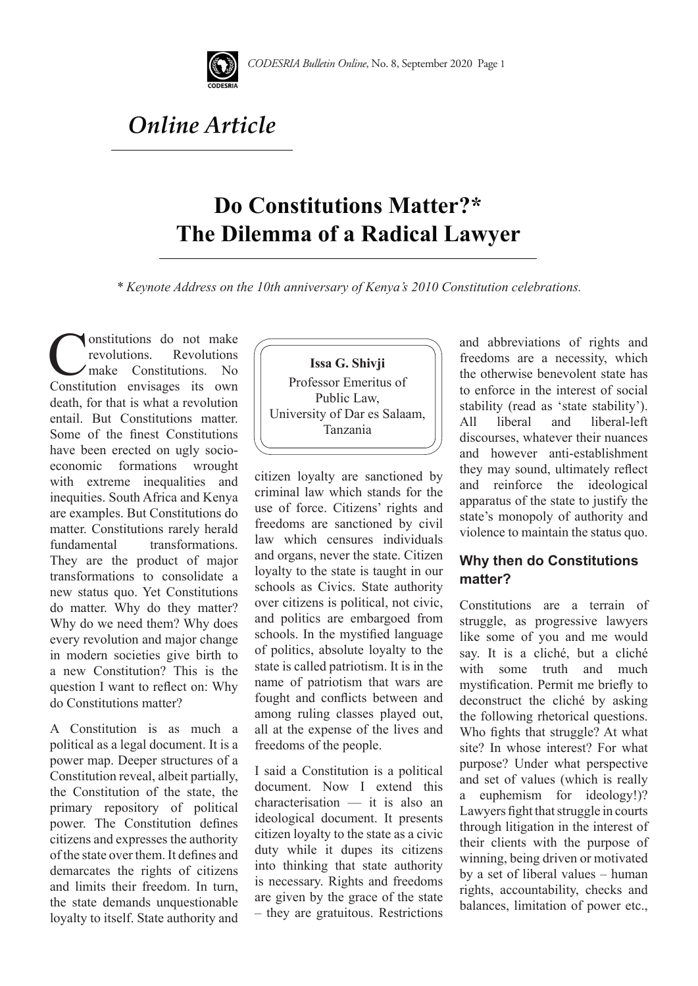

## *Online Article*

## **Do Constitutions Matter?\* The Dilemma of a Radical Lawyer**

*\* Keynote Address on the 10th anniversary of Kenya's 2010 Constitution celebrations.* 

**Constitutions** do not make **Revolutions** make Constitutions. No Constitution envisages its own death, for that is what a revolution entail. But Constitutions matter. Some of the finest Constitutions have been erected on ugly socioeconomic formations wrought with extreme inequalities and inequities. South Africa and Kenya are examples. But Constitutions do matter. Constitutions rarely herald fundamental transformations. They are the product of major transformations to consolidate a new status quo. Yet Constitutions do matter. Why do they matter? Why do we need them? Why does every revolution and major change in modern societies give birth to a new Constitution? This is the question I want to reflect on: Why do Constitutions matter?

A Constitution is as much a political as a legal document. It is a power map. Deeper structures of a Constitution reveal, albeit partially, the Constitution of the state, the primary repository of political power. The Constitution defines citizens and expresses the authority of the state over them. It defines and demarcates the rights of citizens and limits their freedom. In turn, the state demands unquestionable loyalty to itself. State authority and



citizen loyalty are sanctioned by criminal law which stands for the use of force. Citizens' rights and freedoms are sanctioned by civil law which censures individuals and organs, never the state. Citizen loyalty to the state is taught in our schools as Civics. State authority over citizens is political, not civic, and politics are embargoed from schools. In the mystified language of politics, absolute loyalty to the state is called patriotism. It is in the name of patriotism that wars are fought and conflicts between and among ruling classes played out, all at the expense of the lives and freedoms of the people.

I said a Constitution is a political document. Now I extend this characterisation — it is also an ideological document. It presents citizen loyalty to the state as a civic duty while it dupes its citizens into thinking that state authority is necessary. Rights and freedoms are given by the grace of the state – they are gratuitous. Restrictions and abbreviations of rights and freedoms are a necessity, which the otherwise benevolent state has to enforce in the interest of social stability (read as 'state stability'). All liberal and liberal-left discourses, whatever their nuances and however anti-establishment they may sound, ultimately reflect and reinforce the ideological apparatus of the state to justify the state's monopoly of authority and violence to maintain the status quo.

## **Why then do Constitutions matter?**

Constitutions are a terrain of struggle, as progressive lawyers like some of you and me would say. It is a cliché, but a cliché with some truth and much mystification. Permit me briefly to deconstruct the cliché by asking the following rhetorical questions. Who fights that struggle? At what site? In whose interest? For what purpose? Under what perspective and set of values (which is really a euphemism for ideology!)? Lawyers fight that struggle in courts through litigation in the interest of their clients with the purpose of winning, being driven or motivated by a set of liberal values – human rights, accountability, checks and balances, limitation of power etc.,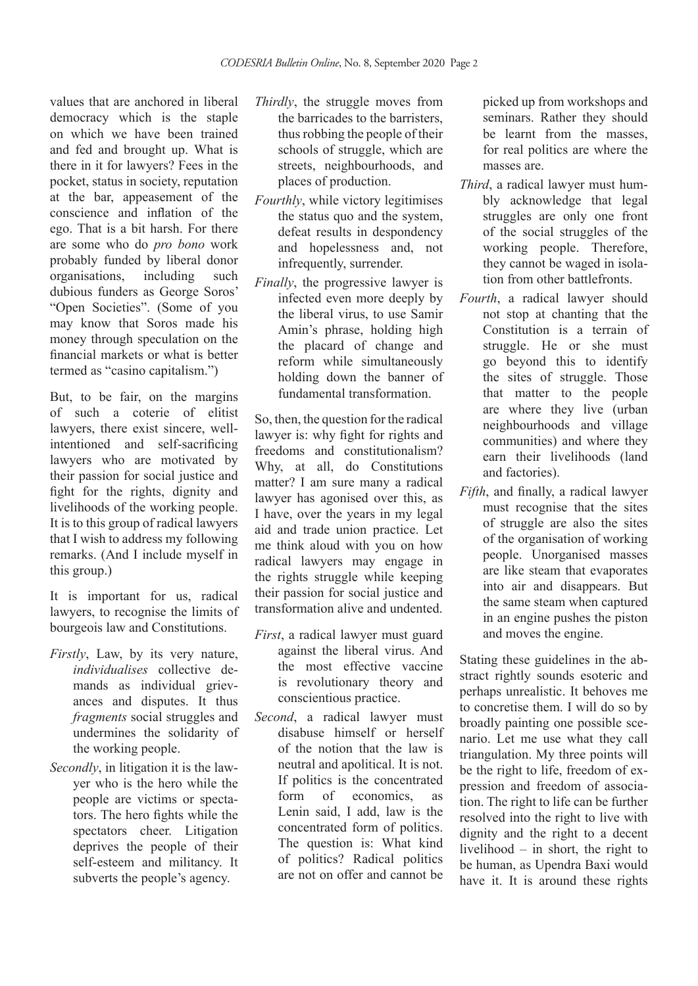values that are anchored in liberal democracy which is the staple on which we have been trained and fed and brought up. What is there in it for lawyers? Fees in the pocket, status in society, reputation at the bar, appeasement of the conscience and inflation of the ego. That is a bit harsh. For there are some who do *pro bono* work probably funded by liberal donor<br>organisations. including such organisations, including such dubious funders as George Soros' "Open Societies". (Some of you may know that Soros made his money through speculation on the financial markets or what is better termed as "casino capitalism.")

But, to be fair, on the margins of such a coterie of elitist lawyers, there exist sincere, wellintentioned and self-sacrificing lawyers who are motivated by their passion for social justice and fight for the rights, dignity and livelihoods of the working people. It is to this group of radical lawyers that I wish to address my following remarks. (And I include myself in this group.)

It is important for us, radical lawyers, to recognise the limits of bourgeois law and Constitutions.

- *Firstly*, Law, by its very nature, *individualises* collective demands as individual grievances and disputes. It thus *fragments* social struggles and undermines the solidarity of the working people.
- *Secondly*, in litigation it is the lawyer who is the hero while the people are victims or spectators. The hero fights while the spectators cheer. Litigation deprives the people of their self-esteem and militancy. It subverts the people's agency.
- *Thirdly*, the struggle moves from the barricades to the barristers, thus robbing the people of their schools of struggle, which are streets, neighbourhoods, and places of production.
- *Fourthly*, while victory legitimises the status quo and the system, defeat results in despondency and hopelessness and, not infrequently, surrender.
- *Finally*, the progressive lawyer is infected even more deeply by the liberal virus, to use Samir Amin's phrase, holding high the placard of change and reform while simultaneously holding down the banner of fundamental transformation.

So, then, the question for the radical lawyer is: why fight for rights and freedoms and constitutionalism? Why, at all, do Constitutions matter? I am sure many a radical lawyer has agonised over this, as I have, over the years in my legal aid and trade union practice. Let me think aloud with you on how radical lawyers may engage in the rights struggle while keeping their passion for social justice and transformation alive and undented.

- *First*, a radical lawyer must guard against the liberal virus. And the most effective vaccine is revolutionary theory and conscientious practice.
- *Second*, a radical lawyer must disabuse himself or herself of the notion that the law is neutral and apolitical. It is not. If politics is the concentrated form of economics, as Lenin said, I add, law is the concentrated form of politics. The question is: What kind of politics? Radical politics are not on offer and cannot be

picked up from workshops and seminars. Rather they should be learnt from the masses, for real politics are where the masses are.

- *Third*, a radical lawyer must humbly acknowledge that legal struggles are only one front of the social struggles of the working people. Therefore, they cannot be waged in isolation from other battlefronts.
- *Fourth*, a radical lawyer should not stop at chanting that the Constitution is a terrain of struggle. He or she must go beyond this to identify the sites of struggle. Those that matter to the people are where they live (urban neighbourhoods and village communities) and where they earn their livelihoods (land and factories).
- *Fifth*, and finally, a radical lawyer must recognise that the sites of struggle are also the sites of the organisation of working people. Unorganised masses are like steam that evaporates into air and disappears. But the same steam when captured in an engine pushes the piston and moves the engine.

Stating these guidelines in the abstract rightly sounds esoteric and perhaps unrealistic. It behoves me to concretise them. I will do so by broadly painting one possible scenario. Let me use what they call triangulation. My three points will be the right to life, freedom of expression and freedom of association. The right to life can be further resolved into the right to live with dignity and the right to a decent livelihood – in short, the right to be human, as Upendra Baxi would have it. It is around these rights